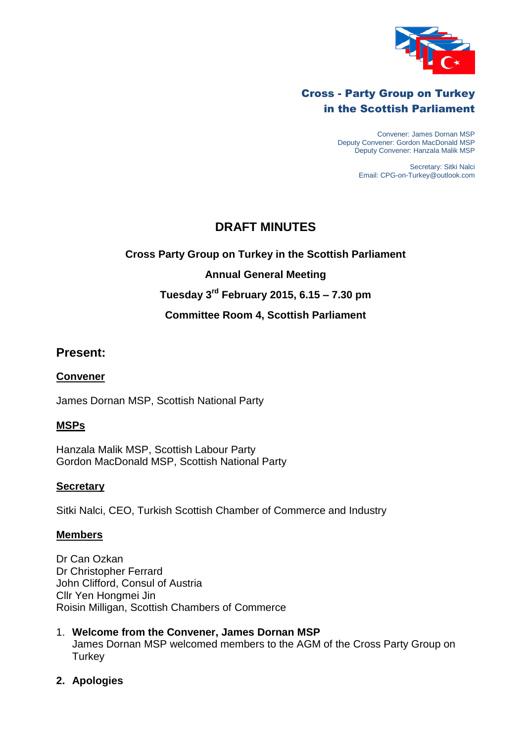

# Cross - Party Group on Turkey in the Scottish Parliament

Convener: James Dornan MSP Deputy Convener: Gordon MacDonald MSP Deputy Convener: Hanzala Malik MSP

> Secretary: Sitki Nalci Email: CPG-on-Turkey@outlook.com

# **DRAFT MINUTES**

# **Cross Party Group on Turkey in the Scottish Parliament**

## **Annual General Meeting**

# **Tuesday 3 rd February 2015, 6.15 – 7.30 pm**

## **Committee Room 4, Scottish Parliament**

## **Present:**

#### **Convener**

James Dornan MSP, Scottish National Party

## **MSPs**

Hanzala Malik MSP, Scottish Labour Party Gordon MacDonald MSP, Scottish National Party

## **Secretary**

Sitki Nalci, CEO, Turkish Scottish Chamber of Commerce and Industry

#### **Members**

Dr Can Ozkan Dr Christopher Ferrard John Clifford, Consul of Austria Cllr Yen Hongmei Jin Roisin Milligan, Scottish Chambers of Commerce

1. **Welcome from the Convener, James Dornan MSP** James Dornan MSP welcomed members to the AGM of the Cross Party Group on **Turkey** 

## **2. Apologies**